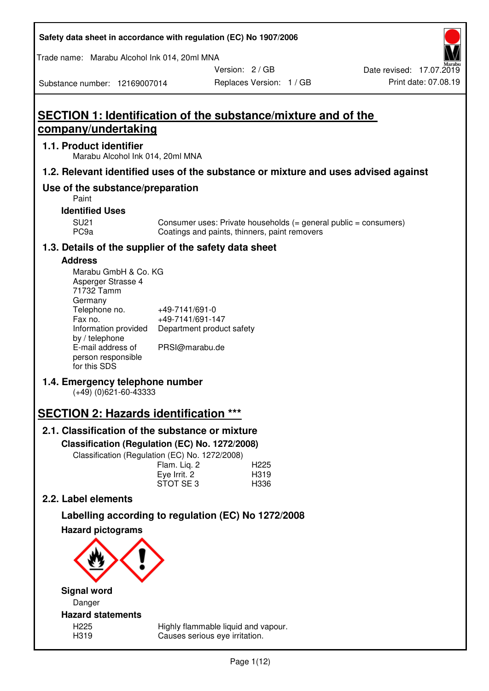| Safety data sheet in accordance with regulation (EC) No 1907/2006 |  |
|-------------------------------------------------------------------|--|
|-------------------------------------------------------------------|--|

Trade name: Marabu Alcohol Ink 014, 20ml MNA

Version: 2 / GB

Replaces Version: 1 / GB Print date: 07.08.19 Date revised: 17.07.2019

Substance number: 12169007014

# **SECTION 1: Identification of the substance/mixture and of the company/undertaking**

## **1.1. Product identifier**

Marabu Alcohol Ink 014, 20ml MNA

## **1.2. Relevant identified uses of the substance or mixture and uses advised against**

## **Use of the substance/preparation**

Paint

**Identified Uses** 

SU21 Consumer uses: Private households (= general public = consumers)<br>PC9a Coatings and paints, thinners, paint removers Coatings and paints, thinners, paint removers

## **1.3. Details of the supplier of the safety data sheet**

### **Address**

| Marabu GmbH & Co. KG |                           |
|----------------------|---------------------------|
| Asperger Strasse 4   |                           |
| 71732 Tamm           |                           |
| Germany              |                           |
| Telephone no.        | +49-7141/691-0            |
| Fax no.              | +49-7141/691-147          |
| Information provided | Department product safety |
| by / telephone       |                           |
| E-mail address of    | PRSI@marabu.de            |
| person responsible   |                           |
| for this SDS         |                           |

## **1.4. Emergency telephone number**

(+49) (0)621-60-43333

# **SECTION 2: Hazards identification \*\*\***

## **2.1. Classification of the substance or mixture**

**Classification (Regulation (EC) No. 1272/2008)** 

Classification (Regulation (EC) No. 1272/2008)

|              | . |                  |
|--------------|---|------------------|
| Flam. Liq. 2 |   | H <sub>225</sub> |
| Eye Irrit. 2 |   | H319             |
| STOT SE3     |   | H336             |
|              |   |                  |

## **2.2. Label elements**

# **Labelling according to regulation (EC) No 1272/2008**



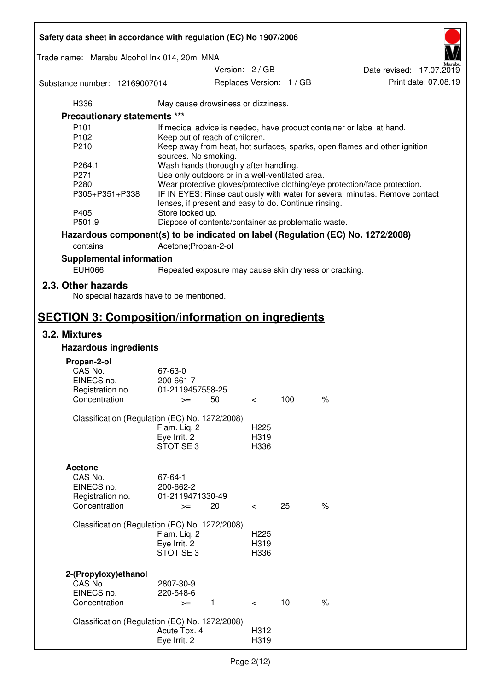| Safety data sheet in accordance with regulation (EC) No 1907/2006 |                                                       |                 |                          |                          |                                                                                 |
|-------------------------------------------------------------------|-------------------------------------------------------|-----------------|--------------------------|--------------------------|---------------------------------------------------------------------------------|
| Trade name: Marabu Alcohol Ink 014, 20ml MNA                      |                                                       |                 |                          |                          |                                                                                 |
|                                                                   |                                                       | Version: 2 / GB |                          |                          | Date revised: 17.07.2019                                                        |
| Substance number: 12169007014                                     |                                                       |                 |                          | Replaces Version: 1 / GB | Print date: 07.08.19                                                            |
| H336                                                              | May cause drowsiness or dizziness.                    |                 |                          |                          |                                                                                 |
| Precautionary statements ***                                      |                                                       |                 |                          |                          |                                                                                 |
| P <sub>101</sub>                                                  |                                                       |                 |                          |                          | If medical advice is needed, have product container or label at hand.           |
| P102                                                              | Keep out of reach of children.                        |                 |                          |                          |                                                                                 |
| P210                                                              |                                                       |                 |                          |                          | Keep away from heat, hot surfaces, sparks, open flames and other ignition       |
|                                                                   | sources. No smoking.                                  |                 |                          |                          |                                                                                 |
| P264.1                                                            | Wash hands thoroughly after handling.                 |                 |                          |                          |                                                                                 |
| P271                                                              | Use only outdoors or in a well-ventilated area.       |                 |                          |                          |                                                                                 |
| P280                                                              |                                                       |                 |                          |                          | Wear protective gloves/protective clothing/eye protection/face protection.      |
| P305+P351+P338                                                    | lenses, if present and easy to do. Continue rinsing.  |                 |                          |                          | IF IN EYES: Rinse cautiously with water for several minutes. Remove contact     |
| P405                                                              | Store locked up.                                      |                 |                          |                          |                                                                                 |
| P501.9                                                            | Dispose of contents/container as problematic waste.   |                 |                          |                          |                                                                                 |
|                                                                   |                                                       |                 |                          |                          | Hazardous component(s) to be indicated on label (Regulation (EC) No. 1272/2008) |
| contains                                                          | Acetone; Propan-2-ol                                  |                 |                          |                          |                                                                                 |
| <b>Supplemental information</b>                                   |                                                       |                 |                          |                          |                                                                                 |
| <b>EUH066</b>                                                     | Repeated exposure may cause skin dryness or cracking. |                 |                          |                          |                                                                                 |
| 2.3. Other hazards<br>No special hazards have to be mentioned.    |                                                       |                 |                          |                          |                                                                                 |
| <b>SECTION 3: Composition/information on ingredients</b>          |                                                       |                 |                          |                          |                                                                                 |
| 3.2. Mixtures                                                     |                                                       |                 |                          |                          |                                                                                 |
| <b>Hazardous ingredients</b>                                      |                                                       |                 |                          |                          |                                                                                 |
|                                                                   |                                                       |                 |                          |                          |                                                                                 |
| Propan-2-ol<br>CAS No.                                            | 67-63-0                                               |                 |                          |                          |                                                                                 |
| EINECS no.                                                        | 200-661-7                                             |                 |                          |                          |                                                                                 |
| Registration no.                                                  | 01-2119457558-25                                      |                 |                          |                          |                                                                                 |
| Concentration                                                     | 50<br>$>=$                                            |                 | $\,<\,$                  | 100                      | $\%$                                                                            |
|                                                                   |                                                       |                 |                          |                          |                                                                                 |
| Classification (Regulation (EC) No. 1272/2008)                    |                                                       |                 |                          |                          |                                                                                 |
|                                                                   | Flam. Liq. 2                                          |                 | H <sub>225</sub>         |                          |                                                                                 |
|                                                                   | Eye Irrit. 2<br>STOT SE3                              |                 | H319<br>H336             |                          |                                                                                 |
|                                                                   |                                                       |                 |                          |                          |                                                                                 |
| <b>Acetone</b>                                                    |                                                       |                 |                          |                          |                                                                                 |
| CAS No.                                                           | 67-64-1                                               |                 |                          |                          |                                                                                 |
| EINECS no.                                                        | 200-662-2                                             |                 |                          |                          |                                                                                 |
| Registration no.                                                  | 01-2119471330-49                                      |                 |                          |                          |                                                                                 |
| Concentration                                                     | 20<br>$>=$                                            |                 | $\overline{\phantom{0}}$ | 25                       | $\%$                                                                            |
|                                                                   |                                                       |                 |                          |                          |                                                                                 |
| Classification (Regulation (EC) No. 1272/2008)                    |                                                       |                 |                          |                          |                                                                                 |
|                                                                   | Flam. Liq. 2                                          |                 | H <sub>225</sub>         |                          |                                                                                 |
|                                                                   | Eye Irrit. 2                                          |                 | H319                     |                          |                                                                                 |
|                                                                   | STOT SE3                                              |                 | H336                     |                          |                                                                                 |
|                                                                   |                                                       |                 |                          |                          |                                                                                 |
| 2-(Propyloxy) ethanol<br>CAS No.                                  | 2807-30-9                                             |                 |                          |                          |                                                                                 |
| EINECS no.                                                        | 220-548-6                                             |                 |                          |                          |                                                                                 |
| Concentration                                                     | $\mathbf{1}$<br>$>=$                                  |                 | $\prec$                  | 10                       | $\%$                                                                            |
|                                                                   |                                                       |                 |                          |                          |                                                                                 |
| Classification (Regulation (EC) No. 1272/2008)                    |                                                       |                 |                          |                          |                                                                                 |
|                                                                   | Acute Tox. 4                                          |                 | H312                     |                          |                                                                                 |
|                                                                   | Eye Irrit. 2                                          |                 | H319                     |                          |                                                                                 |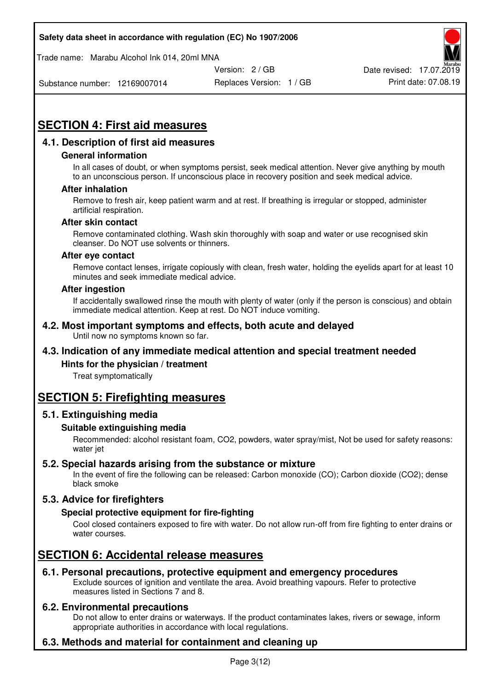Trade name: Marabu Alcohol Ink 014, 20ml MNA



Date revised: 17.07.2019

Substance number: 12169007014

Replaces Version: 1 / GB Print date: 07.08.19

# **SECTION 4: First aid measures**

## **4.1. Description of first aid measures**

#### **General information**

In all cases of doubt, or when symptoms persist, seek medical attention. Never give anything by mouth to an unconscious person. If unconscious place in recovery position and seek medical advice.

#### **After inhalation**

Remove to fresh air, keep patient warm and at rest. If breathing is irregular or stopped, administer artificial respiration.

#### **After skin contact**

Remove contaminated clothing. Wash skin thoroughly with soap and water or use recognised skin cleanser. Do NOT use solvents or thinners.

#### **After eye contact**

Remove contact lenses, irrigate copiously with clean, fresh water, holding the eyelids apart for at least 10 minutes and seek immediate medical advice.

#### **After ingestion**

If accidentally swallowed rinse the mouth with plenty of water (only if the person is conscious) and obtain immediate medical attention. Keep at rest. Do NOT induce vomiting.

#### **4.2. Most important symptoms and effects, both acute and delayed**  Until now no symptoms known so far.

## **4.3. Indication of any immediate medical attention and special treatment needed**

#### **Hints for the physician / treatment**

Treat symptomatically

## **SECTION 5: Firefighting measures**

#### **5.1. Extinguishing media**

#### **Suitable extinguishing media**

Recommended: alcohol resistant foam, CO2, powders, water spray/mist, Not be used for safety reasons: water jet

#### **5.2. Special hazards arising from the substance or mixture**

In the event of fire the following can be released: Carbon monoxide (CO); Carbon dioxide (CO2); dense black smoke

## **5.3. Advice for firefighters**

#### **Special protective equipment for fire-fighting**

Cool closed containers exposed to fire with water. Do not allow run-off from fire fighting to enter drains or water courses.

## **SECTION 6: Accidental release measures**

#### **6.1. Personal precautions, protective equipment and emergency procedures**

Exclude sources of ignition and ventilate the area. Avoid breathing vapours. Refer to protective measures listed in Sections 7 and 8.

#### **6.2. Environmental precautions**

Do not allow to enter drains or waterways. If the product contaminates lakes, rivers or sewage, inform appropriate authorities in accordance with local regulations.

## **6.3. Methods and material for containment and cleaning up**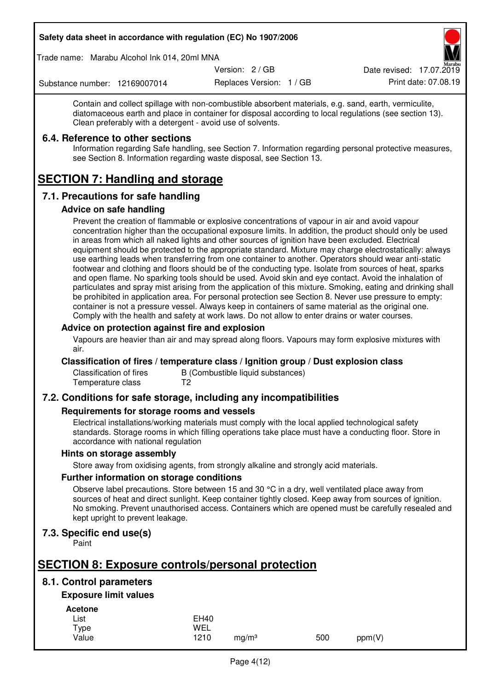Trade name: Marabu Alcohol Ink 014, 20ml MNA

Version: 2 / GB

Replaces Version: 1 / GB Print date: 07.08.19 Date revised: 17.07.2019

Substance number: 12169007014

Contain and collect spillage with non-combustible absorbent materials, e.g. sand, earth, vermiculite, diatomaceous earth and place in container for disposal according to local regulations (see section 13). Clean preferably with a detergent - avoid use of solvents.

### **6.4. Reference to other sections**

Information regarding Safe handling, see Section 7. Information regarding personal protective measures, see Section 8. Information regarding waste disposal, see Section 13.

# **SECTION 7: Handling and storage**

## **7.1. Precautions for safe handling**

#### **Advice on safe handling**

Prevent the creation of flammable or explosive concentrations of vapour in air and avoid vapour concentration higher than the occupational exposure limits. In addition, the product should only be used in areas from which all naked lights and other sources of ignition have been excluded. Electrical equipment should be protected to the appropriate standard. Mixture may charge electrostatically: always use earthing leads when transferring from one container to another. Operators should wear anti-static footwear and clothing and floors should be of the conducting type. Isolate from sources of heat, sparks and open flame. No sparking tools should be used. Avoid skin and eye contact. Avoid the inhalation of particulates and spray mist arising from the application of this mixture. Smoking, eating and drinking shall be prohibited in application area. For personal protection see Section 8. Never use pressure to empty: container is not a pressure vessel. Always keep in containers of same material as the original one. Comply with the health and safety at work laws. Do not allow to enter drains or water courses.

### **Advice on protection against fire and explosion**

Vapours are heavier than air and may spread along floors. Vapours may form explosive mixtures with air.

#### **Classification of fires / temperature class / Ignition group / Dust explosion class**

Classification of fires B (Combustible liquid substances)<br>Temperature class T2 Temperature class

## **7.2. Conditions for safe storage, including any incompatibilities**

#### **Requirements for storage rooms and vessels**

Electrical installations/working materials must comply with the local applied technological safety standards. Storage rooms in which filling operations take place must have a conducting floor. Store in accordance with national regulation

#### **Hints on storage assembly**

Store away from oxidising agents, from strongly alkaline and strongly acid materials.

#### **Further information on storage conditions**

Observe label precautions. Store between 15 and 30 °C in a dry, well ventilated place away from sources of heat and direct sunlight. Keep container tightly closed. Keep away from sources of ignition. No smoking. Prevent unauthorised access. Containers which are opened must be carefully resealed and kept upright to prevent leakage.

## **7.3. Specific end use(s)**

Paint

# **SECTION 8: Exposure controls/personal protection**

## **8.1. Control parameters**

## **Exposure limit values**

**Acetone** 

| - - - - - - - - |             |                   |     |        |
|-----------------|-------------|-------------------|-----|--------|
| List            | <b>EH40</b> |                   |     |        |
| Type            | WEL         |                   |     |        |
| Value           | 1210        | ma/m <sup>3</sup> | 500 | ppm(V) |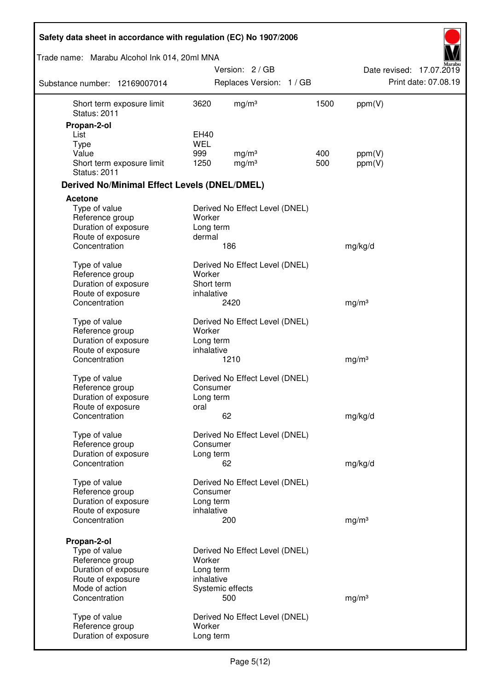| Safety data sheet in accordance with regulation (EC) No 1907/2006 |                          |                                |      |                   |                          |
|-------------------------------------------------------------------|--------------------------|--------------------------------|------|-------------------|--------------------------|
| Trade name: Marabu Alcohol Ink 014, 20ml MNA                      |                          |                                |      |                   |                          |
|                                                                   |                          | Version: 2 / GB                |      |                   | Date revised: 17.07.2019 |
| Substance number: 12169007014                                     |                          | Replaces Version: 1 / GB       |      |                   | Print date: 07.08.19     |
| Short term exposure limit<br><b>Status: 2011</b>                  | 3620                     | mg/m <sup>3</sup>              | 1500 | ppm(V)            |                          |
| Propan-2-ol                                                       |                          |                                |      |                   |                          |
| List                                                              | EH40                     |                                |      |                   |                          |
| <b>Type</b><br>Value                                              | <b>WEL</b><br>999        | mg/m <sup>3</sup>              | 400  | ppm(V)            |                          |
| Short term exposure limit<br><b>Status: 2011</b>                  | 1250                     | mg/m <sup>3</sup>              | 500  | ppm(V)            |                          |
| <b>Derived No/Minimal Effect Levels (DNEL/DMEL)</b>               |                          |                                |      |                   |                          |
| <b>Acetone</b>                                                    |                          |                                |      |                   |                          |
| Type of value<br>Reference group<br>Duration of exposure          | Worker<br>Long term      | Derived No Effect Level (DNEL) |      |                   |                          |
| Route of exposure                                                 | dermal                   |                                |      |                   |                          |
| Concentration                                                     |                          | 186                            |      | mg/kg/d           |                          |
| Type of value                                                     |                          | Derived No Effect Level (DNEL) |      |                   |                          |
| Reference group                                                   | Worker                   |                                |      |                   |                          |
| Duration of exposure<br>Route of exposure                         | Short term<br>inhalative |                                |      |                   |                          |
| Concentration                                                     |                          | 2420                           |      | mg/m <sup>3</sup> |                          |
| Type of value                                                     |                          | Derived No Effect Level (DNEL) |      |                   |                          |
| Reference group                                                   | Worker                   |                                |      |                   |                          |
| Duration of exposure<br>Route of exposure                         | Long term<br>inhalative  |                                |      |                   |                          |
| Concentration                                                     |                          | 1210                           |      | mg/m <sup>3</sup> |                          |
| Type of value                                                     |                          | Derived No Effect Level (DNEL) |      |                   |                          |
| Reference group                                                   | Consumer                 |                                |      |                   |                          |
| Duration of exposure                                              | Long term                |                                |      |                   |                          |
| Route of exposure                                                 | oral                     |                                |      |                   |                          |
| Concentration                                                     |                          | 62                             |      | mg/kg/d           |                          |
| Type of value<br>Reference group                                  | Consumer                 | Derived No Effect Level (DNEL) |      |                   |                          |
| Duration of exposure                                              | Long term                |                                |      |                   |                          |
| Concentration                                                     |                          | 62                             |      | mg/kg/d           |                          |
| Type of value                                                     |                          | Derived No Effect Level (DNEL) |      |                   |                          |
| Reference group                                                   | Consumer                 |                                |      |                   |                          |
| Duration of exposure                                              | Long term                |                                |      |                   |                          |
| Route of exposure                                                 | inhalative               |                                |      |                   |                          |
| Concentration                                                     |                          | 200                            |      | mg/m <sup>3</sup> |                          |
| Propan-2-ol                                                       |                          |                                |      |                   |                          |
| Type of value<br>Reference group                                  | Worker                   | Derived No Effect Level (DNEL) |      |                   |                          |
| Duration of exposure                                              | Long term                |                                |      |                   |                          |
| Route of exposure                                                 | inhalative               |                                |      |                   |                          |
| Mode of action                                                    |                          | Systemic effects               |      |                   |                          |
| Concentration                                                     |                          | 500                            |      | mg/m <sup>3</sup> |                          |
| Type of value                                                     |                          | Derived No Effect Level (DNEL) |      |                   |                          |
| Reference group<br>Duration of exposure                           | Worker<br>Long term      |                                |      |                   |                          |
|                                                                   |                          |                                |      |                   |                          |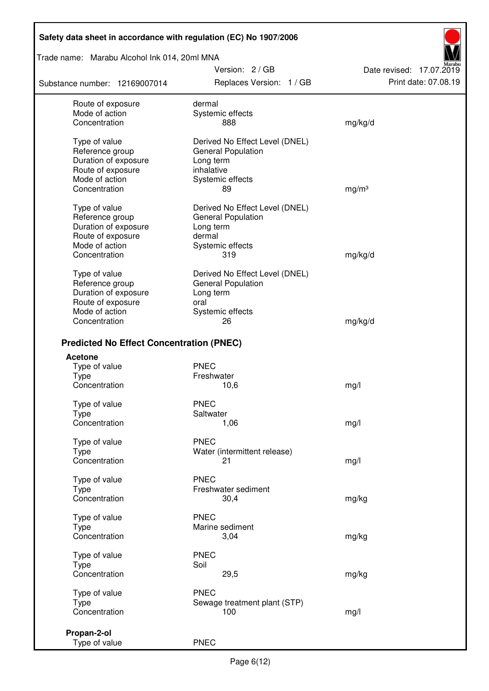### Trade name: Marabu Alcohol Ink 014, 20ml MNA

Substance number: 12169007014

Version: 2 / GB Replaces Version: 1 / GB Print date: 07.08.19

Date revised: 17.07.2019

| Route of exposure                               | dermal                         |                   |
|-------------------------------------------------|--------------------------------|-------------------|
| Mode of action                                  | Systemic effects               |                   |
| Concentration                                   | 888                            | mg/kg/d           |
|                                                 |                                |                   |
| Type of value                                   | Derived No Effect Level (DNEL) |                   |
| Reference group                                 | General Population             |                   |
| Duration of exposure                            | Long term                      |                   |
|                                                 | inhalative                     |                   |
| Route of exposure                               |                                |                   |
| Mode of action                                  | Systemic effects               |                   |
| Concentration                                   | 89                             | mg/m <sup>3</sup> |
| Type of value                                   | Derived No Effect Level (DNEL) |                   |
| Reference group                                 | <b>General Population</b>      |                   |
|                                                 |                                |                   |
| Duration of exposure                            | Long term                      |                   |
| Route of exposure                               | dermal                         |                   |
| Mode of action                                  | Systemic effects               |                   |
| Concentration                                   | 319                            | mg/kg/d           |
| Type of value                                   | Derived No Effect Level (DNEL) |                   |
|                                                 |                                |                   |
| Reference group                                 | General Population             |                   |
| Duration of exposure                            | Long term                      |                   |
| Route of exposure                               | oral                           |                   |
| Mode of action                                  | Systemic effects               |                   |
| Concentration                                   | 26                             | mg/kg/d           |
|                                                 |                                |                   |
| <b>Predicted No Effect Concentration (PNEC)</b> |                                |                   |
| <b>Acetone</b>                                  |                                |                   |
| Type of value                                   | <b>PNEC</b>                    |                   |
| <b>Type</b>                                     | Freshwater                     |                   |
| Concentration                                   | 10,6                           | mg/l              |
|                                                 | <b>PNEC</b>                    |                   |
| Type of value                                   |                                |                   |
| <b>Type</b>                                     | Saltwater                      |                   |
| Concentration                                   | 1,06                           | mg/l              |
| Type of value                                   | <b>PNEC</b>                    |                   |
| Type                                            | Water (intermittent release)   |                   |
| Concentration                                   | 21                             |                   |
|                                                 |                                | mg/l              |
| Type of value                                   | <b>PNEC</b>                    |                   |
| <b>Type</b>                                     | Freshwater sediment            |                   |
| Concentration                                   | 30,4                           | mg/kg             |
|                                                 |                                |                   |
| Type of value                                   | <b>PNEC</b>                    |                   |
| Type                                            | Marine sediment                |                   |
| Concentration                                   | 3,04                           | mg/kg             |
|                                                 |                                |                   |
| Type of value                                   | <b>PNEC</b>                    |                   |
| <b>Type</b>                                     | Soil                           |                   |
| Concentration                                   | 29,5                           | mg/kg             |
|                                                 |                                |                   |
| Type of value                                   | <b>PNEC</b>                    |                   |
| <b>Type</b>                                     | Sewage treatment plant (STP)   |                   |
| Concentration                                   | 100                            | mg/l              |
|                                                 |                                |                   |
| Propan-2-ol                                     |                                |                   |
| Type of value                                   | <b>PNEC</b>                    |                   |
|                                                 |                                |                   |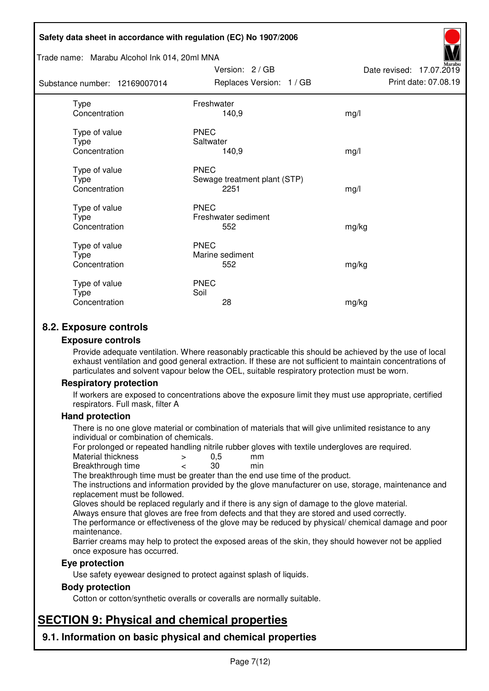#### Trade name: Marabu Alcohol Ink 014, 20ml MNA

| Substance number: 12169007014                 | Replaces Version: 1 / GB                            | Print date: 07.08.19 |
|-----------------------------------------------|-----------------------------------------------------|----------------------|
| <b>Type</b><br>Concentration                  | Freshwater<br>140,9                                 | mg/l                 |
| Type of value<br><b>Type</b><br>Concentration | <b>PNEC</b><br>Saltwater<br>140,9                   | mg/l                 |
| Type of value<br>Type<br>Concentration        | <b>PNEC</b><br>Sewage treatment plant (STP)<br>2251 | mg/l                 |
| Type of value<br>Type<br>Concentration        | <b>PNEC</b><br>Freshwater sediment<br>552           | mg/kg                |
| Type of value<br>Type<br>Concentration        | <b>PNEC</b><br>Marine sediment<br>552               | mg/kg                |
| Type of value<br>Type<br>Concentration        | <b>PNEC</b><br>Soil<br>28                           | mg/kg                |

Version: 2 / GB

Date revised: 17.07.2019

## **8.2. Exposure controls**

#### **Exposure controls**

Provide adequate ventilation. Where reasonably practicable this should be achieved by the use of local exhaust ventilation and good general extraction. If these are not sufficient to maintain concentrations of particulates and solvent vapour below the OEL, suitable respiratory protection must be worn.

#### **Respiratory protection**

If workers are exposed to concentrations above the exposure limit they must use appropriate, certified respirators. Full mask, filter A

#### **Hand protection**

There is no one glove material or combination of materials that will give unlimited resistance to any individual or combination of chemicals.

For prolonged or repeated handling nitrile rubber gloves with textile undergloves are required.<br>Material thickness  $\geq 0.5$  mm

- Material thickness  $\begin{array}{ccc} 0.5 \\ -8.5 \end{array}$  Material thickness  $\begin{array}{ccc} 0.5 \\ -8.5 \end{array}$
- Breakthrough time < 30 min

The breakthrough time must be greater than the end use time of the product.

The instructions and information provided by the glove manufacturer on use, storage, maintenance and replacement must be followed.

Gloves should be replaced regularly and if there is any sign of damage to the glove material.

Always ensure that gloves are free from defects and that they are stored and used correctly.

The performance or effectiveness of the glove may be reduced by physical/ chemical damage and poor maintenance.

Barrier creams may help to protect the exposed areas of the skin, they should however not be applied once exposure has occurred.

#### **Eye protection**

Use safety eyewear designed to protect against splash of liquids.

#### **Body protection**

Cotton or cotton/synthetic overalls or coveralls are normally suitable.

# **SECTION 9: Physical and chemical properties**

**9.1. Information on basic physical and chemical properties**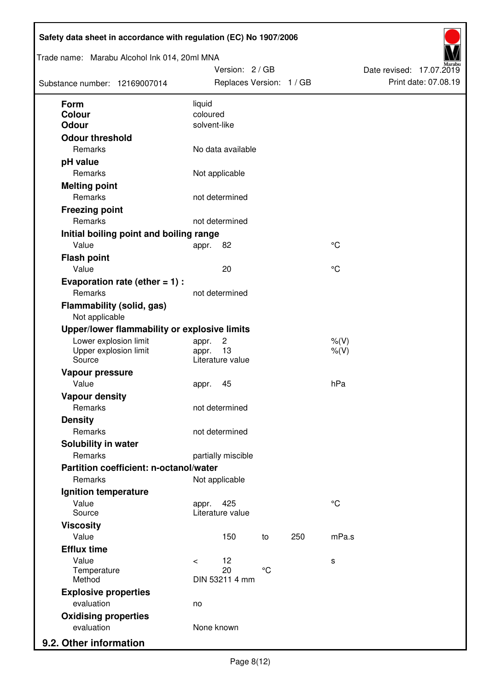| Trade name: Marabu Alcohol Ink 014, 20ml MNA<br>Substance number: 12169007014 |                          | Version: 2/GB<br>Replaces Version: 1 / GB |                 |     |                    | Date revised: 17.07.2019 | Print date: 07.08.19 |
|-------------------------------------------------------------------------------|--------------------------|-------------------------------------------|-----------------|-----|--------------------|--------------------------|----------------------|
| <b>Form</b>                                                                   | liquid                   |                                           |                 |     |                    |                          |                      |
| Colour<br><b>Odour</b>                                                        | coloured<br>solvent-like |                                           |                 |     |                    |                          |                      |
| <b>Odour threshold</b>                                                        |                          |                                           |                 |     |                    |                          |                      |
| Remarks                                                                       |                          | No data available                         |                 |     |                    |                          |                      |
| pH value                                                                      |                          |                                           |                 |     |                    |                          |                      |
| Remarks                                                                       |                          | Not applicable                            |                 |     |                    |                          |                      |
| <b>Melting point</b>                                                          |                          |                                           |                 |     |                    |                          |                      |
| Remarks                                                                       |                          | not determined                            |                 |     |                    |                          |                      |
| <b>Freezing point</b>                                                         |                          |                                           |                 |     |                    |                          |                      |
| Remarks                                                                       |                          | not determined                            |                 |     |                    |                          |                      |
| Initial boiling point and boiling range                                       |                          |                                           |                 |     |                    |                          |                      |
| Value                                                                         | appr.                    | 82                                        |                 |     | °C                 |                          |                      |
| <b>Flash point</b>                                                            |                          |                                           |                 |     |                    |                          |                      |
| Value                                                                         |                          | 20                                        |                 |     | °C                 |                          |                      |
| Evaporation rate (ether $= 1$ ) :                                             |                          |                                           |                 |     |                    |                          |                      |
| Remarks                                                                       |                          | not determined                            |                 |     |                    |                          |                      |
| <b>Flammability (solid, gas)</b><br>Not applicable                            |                          |                                           |                 |     |                    |                          |                      |
| Upper/lower flammability or explosive limits                                  |                          |                                           |                 |     |                    |                          |                      |
| Lower explosion limit<br>Upper explosion limit<br>Source                      | appr.<br>appr.           | $\overline{c}$<br>13<br>Literature value  |                 |     | $%$ (V)<br>$%$ (V) |                          |                      |
| Vapour pressure                                                               |                          |                                           |                 |     |                    |                          |                      |
| Value                                                                         | appr.                    | 45                                        |                 |     | hPa                |                          |                      |
| <b>Vapour density</b>                                                         |                          |                                           |                 |     |                    |                          |                      |
| Remarks                                                                       |                          | not determined                            |                 |     |                    |                          |                      |
| <b>Density</b>                                                                |                          |                                           |                 |     |                    |                          |                      |
| Remarks                                                                       |                          | not determined                            |                 |     |                    |                          |                      |
| Solubility in water                                                           |                          |                                           |                 |     |                    |                          |                      |
| Remarks                                                                       |                          | partially miscible                        |                 |     |                    |                          |                      |
| Partition coefficient: n-octanol/water                                        |                          |                                           |                 |     |                    |                          |                      |
| Remarks                                                                       |                          | Not applicable                            |                 |     |                    |                          |                      |
| Ignition temperature                                                          |                          |                                           |                 |     |                    |                          |                      |
| Value<br>Source                                                               | appr.                    | 425<br>Literature value                   |                 |     | $\rm ^{\circ}C$    |                          |                      |
| <b>Viscosity</b>                                                              |                          |                                           |                 |     |                    |                          |                      |
| Value                                                                         |                          | 150                                       | to              | 250 | mPa.s              |                          |                      |
| <b>Efflux time</b>                                                            |                          |                                           |                 |     |                    |                          |                      |
| Value<br>Temperature                                                          | $\,<$                    | 12<br>20                                  | $\rm ^{\circ}C$ |     | s                  |                          |                      |
| Method                                                                        |                          | DIN 53211 4 mm                            |                 |     |                    |                          |                      |
| <b>Explosive properties</b>                                                   |                          |                                           |                 |     |                    |                          |                      |
| evaluation                                                                    | no                       |                                           |                 |     |                    |                          |                      |
| <b>Oxidising properties</b>                                                   |                          |                                           |                 |     |                    |                          |                      |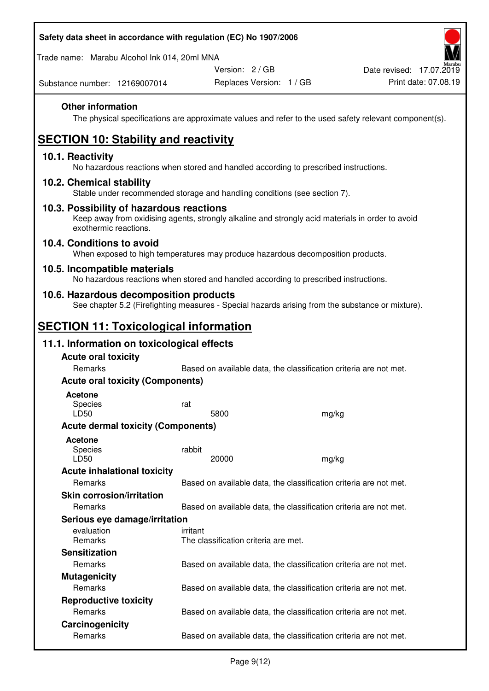Trade name: Marabu Alcohol Ink 014, 20ml MNA

Version: 2 / GB

Replaces Version: 1 / GB Print date: 07.08.19 Date revised: 17.07.2019

Substance number: 12169007014

## **Other information**

The physical specifications are approximate values and refer to the used safety relevant component(s).

# **SECTION 10: Stability and reactivity**

### **10.1. Reactivity**

No hazardous reactions when stored and handled according to prescribed instructions.

### **10.2. Chemical stability**

Stable under recommended storage and handling conditions (see section 7).

#### **10.3. Possibility of hazardous reactions**

Keep away from oxidising agents, strongly alkaline and strongly acid materials in order to avoid exothermic reactions.

#### **10.4. Conditions to avoid**

When exposed to high temperatures may produce hazardous decomposition products.

#### **10.5. Incompatible materials**

No hazardous reactions when stored and handled according to prescribed instructions.

### **10.6. Hazardous decomposition products**

See chapter 5.2 (Firefighting measures - Special hazards arising from the substance or mixture).

## **SECTION 11: Toxicological information**

## **11.1. Information on toxicological effects**

| <b>Acute oral toxicity</b><br>Remarks     |                                                                   |                                                                   |  |  |  |
|-------------------------------------------|-------------------------------------------------------------------|-------------------------------------------------------------------|--|--|--|
|                                           | Based on available data, the classification criteria are not met. |                                                                   |  |  |  |
| <b>Acute oral toxicity (Components)</b>   |                                                                   |                                                                   |  |  |  |
| <b>Acetone</b>                            |                                                                   |                                                                   |  |  |  |
| Species                                   | rat                                                               |                                                                   |  |  |  |
| LD50                                      | 5800                                                              | mg/kg                                                             |  |  |  |
| <b>Acute dermal toxicity (Components)</b> |                                                                   |                                                                   |  |  |  |
| Acetone                                   |                                                                   |                                                                   |  |  |  |
| <b>Species</b>                            | rabbit                                                            |                                                                   |  |  |  |
| LD50                                      | 20000                                                             | mg/kg                                                             |  |  |  |
| <b>Acute inhalational toxicity</b>        |                                                                   |                                                                   |  |  |  |
| Remarks                                   |                                                                   | Based on available data, the classification criteria are not met. |  |  |  |
| <b>Skin corrosion/irritation</b>          |                                                                   |                                                                   |  |  |  |
| Remarks                                   |                                                                   | Based on available data, the classification criteria are not met. |  |  |  |
| Serious eye damage/irritation             |                                                                   |                                                                   |  |  |  |
| evaluation                                | irritant                                                          |                                                                   |  |  |  |
| Remarks                                   | The classification criteria are met.                              |                                                                   |  |  |  |
| <b>Sensitization</b>                      |                                                                   |                                                                   |  |  |  |
| Remarks                                   |                                                                   | Based on available data, the classification criteria are not met. |  |  |  |
| <b>Mutagenicity</b>                       |                                                                   |                                                                   |  |  |  |
| <b>Remarks</b>                            |                                                                   | Based on available data, the classification criteria are not met. |  |  |  |
| <b>Reproductive toxicity</b>              |                                                                   |                                                                   |  |  |  |
| Remarks                                   |                                                                   | Based on available data, the classification criteria are not met. |  |  |  |
| Carcinogenicity                           |                                                                   |                                                                   |  |  |  |
| Remarks                                   |                                                                   | Based on available data, the classification criteria are not met. |  |  |  |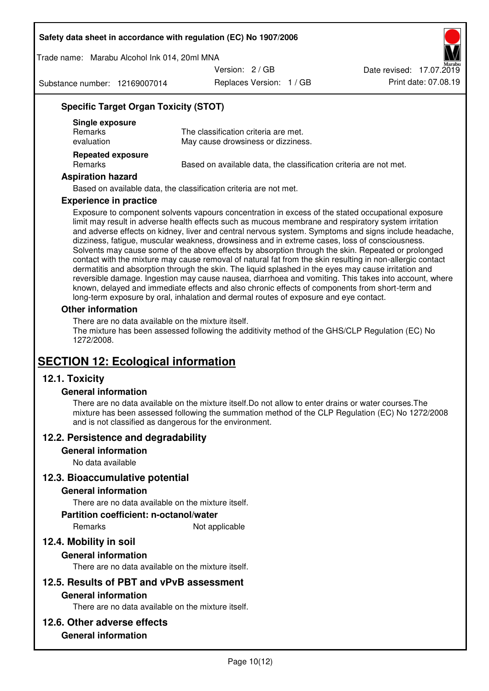Trade name: Marabu Alcohol Ink 014, 20ml MNA

Version: 2 / GB

Substance number: 12169007014

Replaces Version: 1 / GB Print date: 07.08.19 Date revised: 17.07.2019

## **Specific Target Organ Toxicity (STOT)**

| Single exposure<br><b>Remarks</b><br>evaluation | The classification criteria are met.<br>May cause drowsiness or dizziness. |
|-------------------------------------------------|----------------------------------------------------------------------------|
| <b>Repeated exposure</b><br>Remarks             | Based on available data, the classification criteria are not met.          |

#### **Aspiration hazard**

Based on available data, the classification criteria are not met.

#### **Experience in practice**

Exposure to component solvents vapours concentration in excess of the stated occupational exposure limit may result in adverse health effects such as mucous membrane and respiratory system irritation and adverse effects on kidney, liver and central nervous system. Symptoms and signs include headache, dizziness, fatigue, muscular weakness, drowsiness and in extreme cases, loss of consciousness. Solvents may cause some of the above effects by absorption through the skin. Repeated or prolonged contact with the mixture may cause removal of natural fat from the skin resulting in non-allergic contact dermatitis and absorption through the skin. The liquid splashed in the eyes may cause irritation and reversible damage. Ingestion may cause nausea, diarrhoea and vomiting. This takes into account, where known, delayed and immediate effects and also chronic effects of components from short-term and long-term exposure by oral, inhalation and dermal routes of exposure and eye contact.

#### **Other information**

There are no data available on the mixture itself. The mixture has been assessed following the additivity method of the GHS/CLP Regulation (EC) No 1272/2008.

## **SECTION 12: Ecological information**

## **12.1. Toxicity**

#### **General information**

There are no data available on the mixture itself.Do not allow to enter drains or water courses.The mixture has been assessed following the summation method of the CLP Regulation (EC) No 1272/2008 and is not classified as dangerous for the environment.

#### **12.2. Persistence and degradability**

#### **General information**

No data available

#### **12.3. Bioaccumulative potential**

#### **General information**

There are no data available on the mixture itself.

#### **Partition coefficient: n-octanol/water**

Remarks Not applicable

## **12.4. Mobility in soil**

#### **General information**

There are no data available on the mixture itself.

#### **12.5. Results of PBT and vPvB assessment**

#### **General information**

There are no data available on the mixture itself.

#### **12.6. Other adverse effects**

### **General information**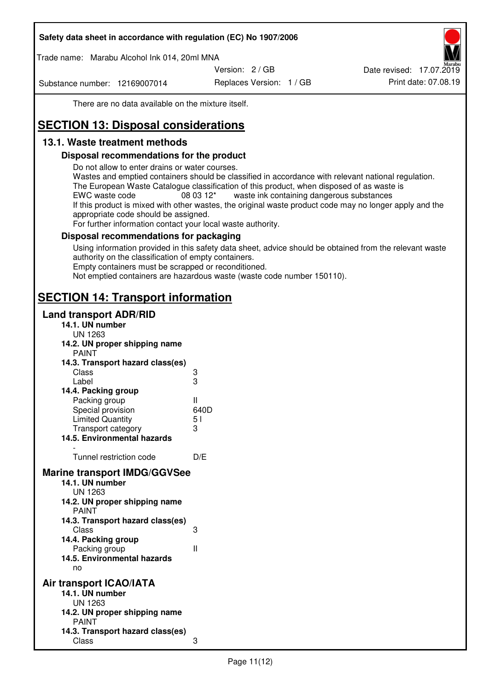Trade name: Marabu Alcohol Ink 014, 20ml MNA

Version: 2 / GB

Substance number: 12169007014

Replaces Version: 1 / GB Print date: 07.08.19 Date revised: 17.07.2019

There are no data available on the mixture itself.

# **SECTION 13: Disposal considerations**

## **13.1. Waste treatment methods**

### **Disposal recommendations for the product**

Do not allow to enter drains or water courses.

Wastes and emptied containers should be classified in accordance with relevant national regulation. The European Waste Catalogue classification of this product, when disposed of as waste is EWC waste code  $08\,03\,12^*$  waste ink containing dangerous substances If this product is mixed with other wastes, the original waste product code may no longer apply and the appropriate code should be assigned.

For further information contact your local waste authority.

### **Disposal recommendations for packaging**

Using information provided in this safety data sheet, advice should be obtained from the relevant waste authority on the classification of empty containers. Empty containers must be scrapped or reconditioned.

Not emptied containers are hazardous waste (waste code number 150110).

## **SECTION 14: Transport information**

### **Land transport ADR/RID**

| 14.1. UN number<br><b>UN 1263</b>                                                                                                                                                                                                            |                   |
|----------------------------------------------------------------------------------------------------------------------------------------------------------------------------------------------------------------------------------------------|-------------------|
| 14.2. UN proper shipping name                                                                                                                                                                                                                |                   |
| <b>PAINT</b>                                                                                                                                                                                                                                 |                   |
| 14.3. Transport hazard class(es)                                                                                                                                                                                                             |                   |
| Class                                                                                                                                                                                                                                        | ვ<br>ვ            |
| Label                                                                                                                                                                                                                                        |                   |
| 14.4. Packing group                                                                                                                                                                                                                          |                   |
| Packing group                                                                                                                                                                                                                                | Ш                 |
| Special provision                                                                                                                                                                                                                            | 640D              |
| <b>Limited Quantity</b>                                                                                                                                                                                                                      | 5 <sub>1</sub>    |
| Transport category                                                                                                                                                                                                                           | 3                 |
| 14.5. Environmental hazards                                                                                                                                                                                                                  |                   |
| Tunnel restriction code                                                                                                                                                                                                                      | D/E               |
| <b>Marine transport IMDG/GGVSee</b><br>14.1. UN number<br>UN 1263<br>14.2. UN proper shipping name<br><b>PAINT</b><br>14.3. Transport hazard class(es)<br>Class<br>14.4. Packing group<br>Packing group<br>14.5. Environmental hazards<br>no | 3<br>$\mathbf{I}$ |
| Air transport ICAO/IATA<br>14.1. UN number<br>UN 1263<br>14.2. UN proper shipping name<br><b>PAINT</b>                                                                                                                                       |                   |
| 14.3. Transport hazard class(es)<br>Class                                                                                                                                                                                                    | 3                 |